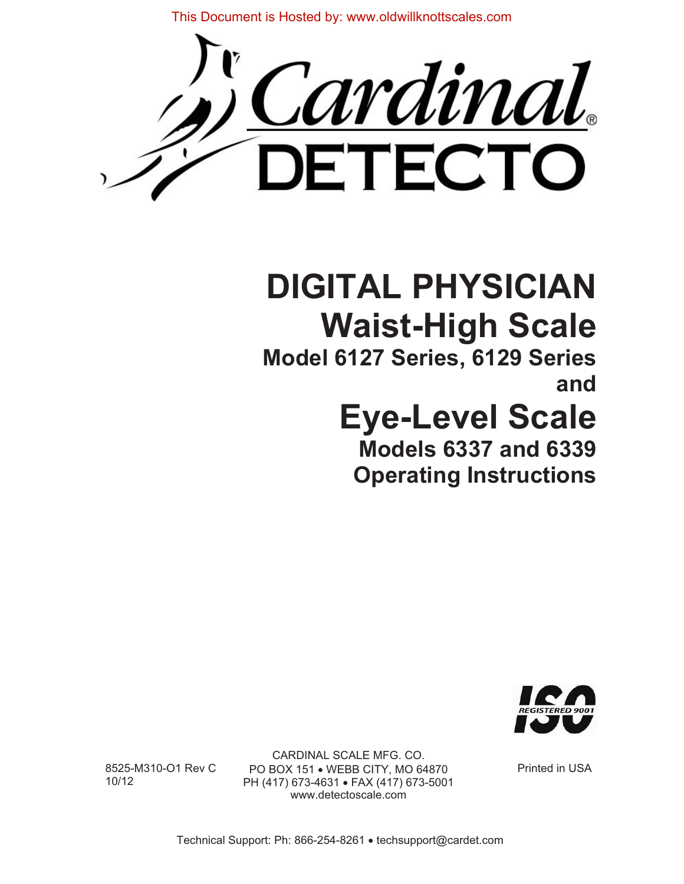This Document is Hosted by: www.oldwillknottscales.com



# **DIGITAL PHYSICIAN Waist-High Scale**

**Model 6127 Series, 6129 Series and**

# **Eye-Level Scale**

**Models 6337 and 6339 Operating Instructions** 



CARDINAL SCALE MFG. CO. 8525-M310-O1 Rev C PO BOX 151 • WEBB CITY, MO 64870 Printed in USA<br>10/12 PH (417) 673-4631 • FAX (417) 673-5001 PH (417) 673-4631 · FAX (417) 673-5001 www.detectoscale.com

Technical Support: Ph: 866-254-8261 · techsupport@cardet.com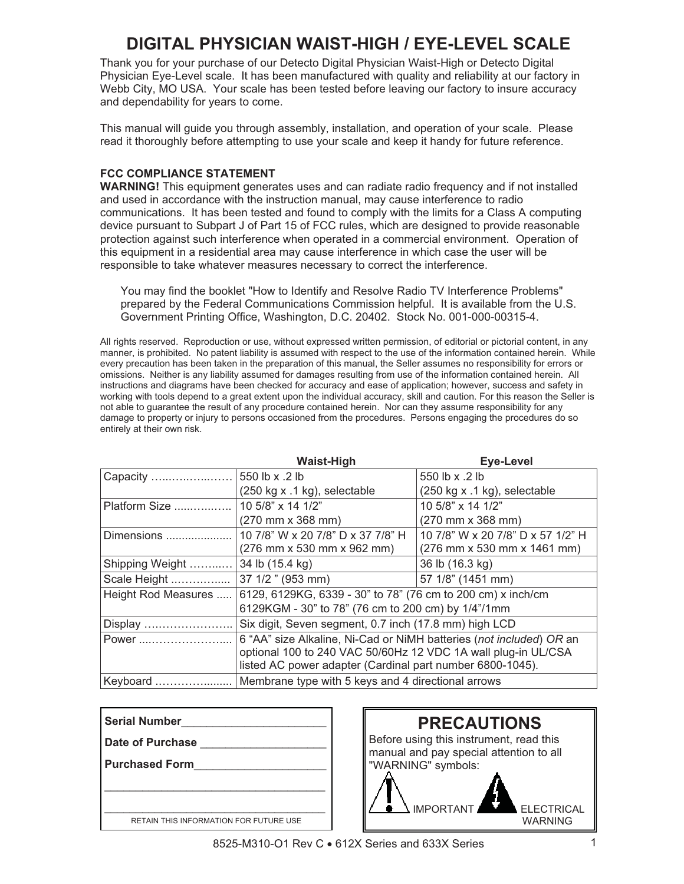# **DIGITAL PHYSICIAN WAIST-HIGH / EYE-LEVEL SCALE**

Thank you for your purchase of our Detecto Digital Physician Waist-High or Detecto Digital Physician Eye-Level scale. It has been manufactured with quality and reliability at our factory in Webb City, MO USA. Your scale has been tested before leaving our factory to insure accuracy and dependability for years to come.

This manual will guide you through assembly, installation, and operation of your scale. Please read it thoroughly before attempting to use your scale and keep it handy for future reference.

#### **FCC COMPLIANCE STATEMENT**

**WARNING!** This equipment generates uses and can radiate radio frequency and if not installed and used in accordance with the instruction manual, may cause interference to radio communications. It has been tested and found to comply with the limits for a Class A computing device pursuant to Subpart J of Part 15 of FCC rules, which are designed to provide reasonable protection against such interference when operated in a commercial environment. Operation of this equipment in a residential area may cause interference in which case the user will be responsible to take whatever measures necessary to correct the interference.

You may find the booklet "How to Identify and Resolve Radio TV Interference Problems" prepared by the Federal Communications Commission helpful. It is available from the U.S. Government Printing Office, Washington, D.C. 20402. Stock No. 001-000-00315-4.

All rights reserved. Reproduction or use, without expressed written permission, of editorial or pictorial content, in any manner, is prohibited. No patent liability is assumed with respect to the use of the information contained herein. While every precaution has been taken in the preparation of this manual, the Seller assumes no responsibility for errors or omissions. Neither is any liability assumed for damages resulting from use of the information contained herein. All instructions and diagrams have been checked for accuracy and ease of application; however, success and safety in working with tools depend to a great extent upon the individual accuracy, skill and caution. For this reason the Seller is not able to guarantee the result of any procedure contained herein. Nor can they assume responsibility for any damage to property or injury to persons occasioned from the procedures. Persons engaging the procedures do so entirely at their own risk.

|                     | <b>Waist-High</b>                                                                                                                                                                                 | <b>Eye-Level</b>                                     |  |
|---------------------|---------------------------------------------------------------------------------------------------------------------------------------------------------------------------------------------------|------------------------------------------------------|--|
| Capacity            | 550 lb x .2 lb                                                                                                                                                                                    | 550 lb x .2 lb                                       |  |
|                     | $(250 \text{ kg} \times .1 \text{ kg})$ , selectable                                                                                                                                              | $(250 \text{ kg} \times .1 \text{ kg})$ , selectable |  |
| Platform Size       | 10 5/8" x 14 1/2"                                                                                                                                                                                 | 10 5/8" x 14 1/2"                                    |  |
|                     | $(270 \, \text{mm} \times 368 \, \text{mm})$                                                                                                                                                      | (270 mm x 368 mm)                                    |  |
| Dimensions          | 10 7/8" W x 20 7/8" D x 37 7/8" H                                                                                                                                                                 | 10 7/8" W x 20 7/8" D x 57 1/2" H                    |  |
|                     | (276 mm x 530 mm x 962 mm)                                                                                                                                                                        | (276 mm x 530 mm x 1461 mm)                          |  |
| Shipping Weight     | 34 lb (15.4 kg)                                                                                                                                                                                   | 36 lb (16.3 kg)                                      |  |
| Scale Height        | 37 1/2" (953 mm)                                                                                                                                                                                  | 57 1/8" (1451 mm)                                    |  |
| Height Rod Measures | 6129, 6129KG, 6339 - 30" to 78" (76 cm to 200 cm) x inch/cm                                                                                                                                       |                                                      |  |
|                     | 6129KGM - 30" to 78" (76 cm to 200 cm) by 1/4"/1mm                                                                                                                                                |                                                      |  |
| Display             | Six digit, Seven segment, 0.7 inch (17.8 mm) high LCD                                                                                                                                             |                                                      |  |
| Power               | 6 "AA" size Alkaline, Ni-Cad or NiMH batteries (not included) OR an<br>optional 100 to 240 VAC 50/60Hz 12 VDC 1A wall plug-in UL/CSA<br>listed AC power adapter (Cardinal part number 6800-1045). |                                                      |  |
| Keyboard            | Membrane type with 5 keys and 4 directional arrows                                                                                                                                                |                                                      |  |

| l Serial Number                        |  |  |  |  |
|----------------------------------------|--|--|--|--|
| <b>Date of Purchase</b>                |  |  |  |  |
| <b>Purchased Form</b>                  |  |  |  |  |
|                                        |  |  |  |  |
|                                        |  |  |  |  |
| RETAIN THIS INFORMATION FOR FUTURE USE |  |  |  |  |



8525-M310-O1 Rev C • 612X Series and 633X Series 1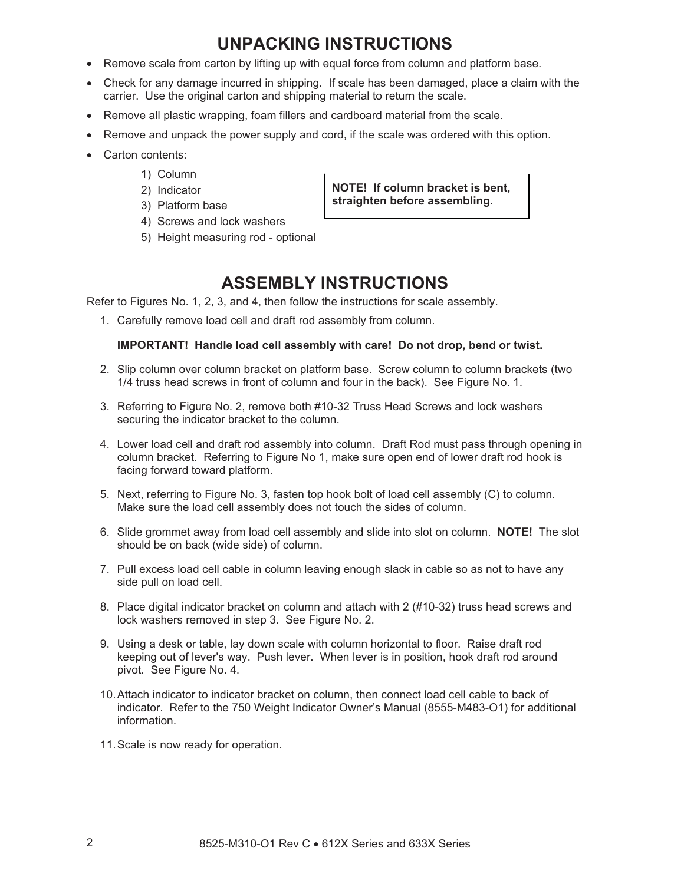# **UNPACKING INSTRUCTIONS**

- Remove scale from carton by lifting up with equal force from column and platform base.
- Check for any damage incurred in shipping. If scale has been damaged, place a claim with the carrier. Use the original carton and shipping material to return the scale.
- Remove all plastic wrapping, foam fillers and cardboard material from the scale.
- Remove and unpack the power supply and cord, if the scale was ordered with this option.
- Carton contents:
	- 1) Column
	- 2) Indicator
	- 3) Platform base
	- 4) Screws and lock washers
	- 5) Height measuring rod optional

## **ASSEMBLY INSTRUCTIONS**

**NOTE! If column bracket is bent, straighten before assembling.**

Refer to Figures No. 1, 2, 3, and 4, then follow the instructions for scale assembly.

1. Carefully remove load cell and draft rod assembly from column.

#### **IMPORTANT! Handle load cell assembly with care! Do not drop, bend or twist.**

- 2. Slip column over column bracket on platform base. Screw column to column brackets (two 1/4 truss head screws in front of column and four in the back). See Figure No. 1.
- 3. Referring to Figure No. 2, remove both #10-32 Truss Head Screws and lock washers securing the indicator bracket to the column.
- 4. Lower load cell and draft rod assembly into column. Draft Rod must pass through opening in column bracket. Referring to Figure No 1, make sure open end of lower draft rod hook is facing forward toward platform.
- 5. Next, referring to Figure No. 3, fasten top hook bolt of load cell assembly (C) to column. Make sure the load cell assembly does not touch the sides of column.
- 6. Slide grommet away from load cell assembly and slide into slot on column. **NOTE!** The slot should be on back (wide side) of column.
- 7. Pull excess load cell cable in column leaving enough slack in cable so as not to have any side pull on load cell.
- 8. Place digital indicator bracket on column and attach with 2 (#10-32) truss head screws and lock washers removed in step 3. See Figure No. 2.
- 9. Using a desk or table, lay down scale with column horizontal to floor. Raise draft rod keeping out of lever's way. Push lever. When lever is in position, hook draft rod around pivot. See Figure No. 4.
- 10. Attach indicator to indicator bracket on column, then connect load cell cable to back of indicator. Refer to the 750 Weight Indicator Owner's Manual (8555-M483-O1) for additional information.
- 11. Scale is now ready for operation.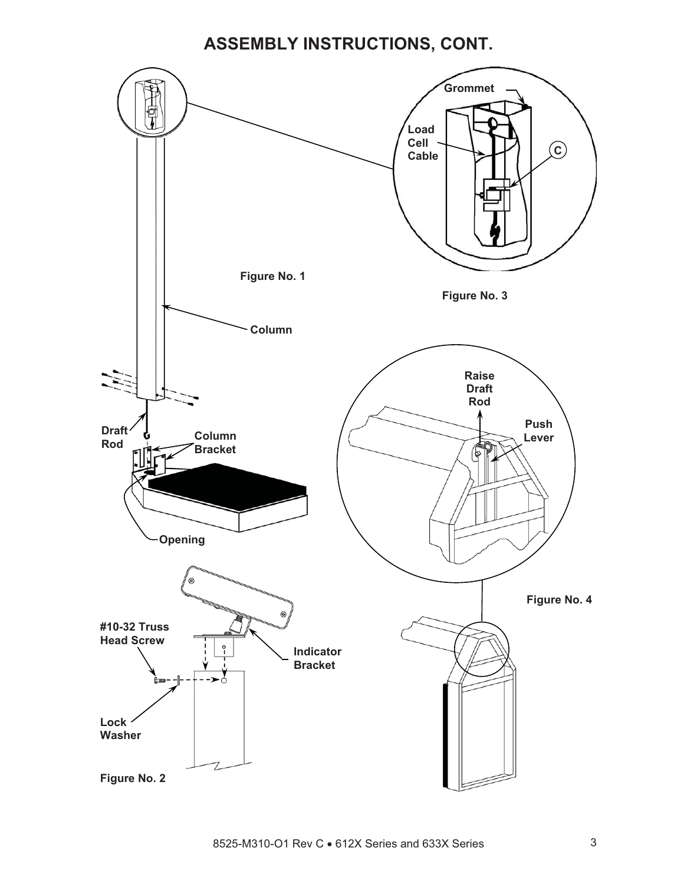# **ASSEMBLY INSTRUCTIONS, CONT.**

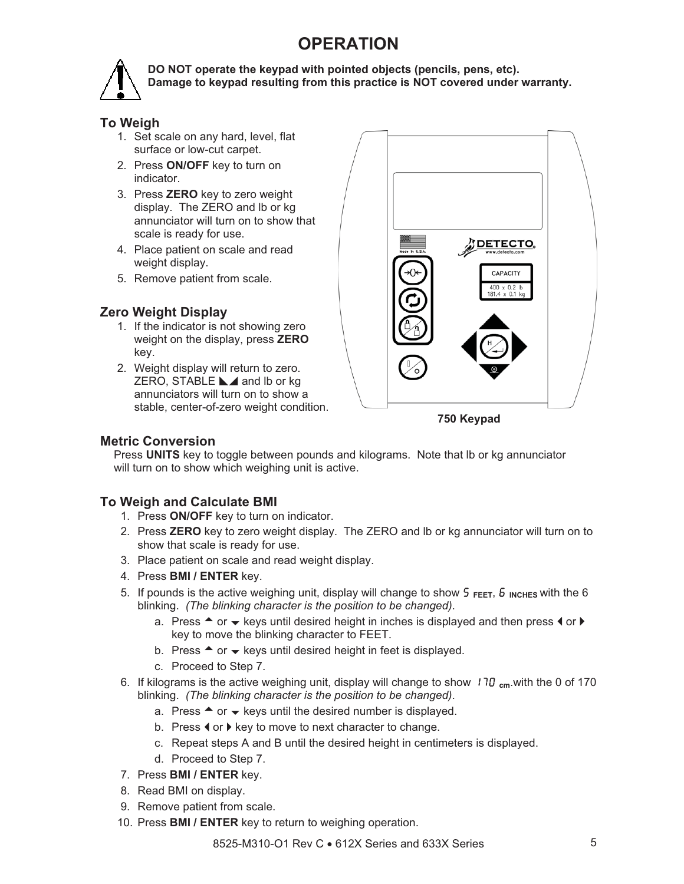# **OPERATION**



**DO NOT operate the keypad with pointed objects (pencils, pens, etc). Damage to keypad resulting from this practice is NOT covered under warranty.** 

#### **To Weigh**

- 1. Set scale on any hard, level, flat surface or low-cut carpet.
- 2. Press **ON/OFF** key to turn on indicator.
- annunciator will turn on to show that 3. Press **ZERO** key to zero weight display. The ZERO and lb or kg scale is ready for use.
- 4. Place patient on scale and read weight display.
- 5. Remove patient from scale.

#### **Zero Weight Display**

- weight on the display, press **ZERO** 1. If the indicator is not showing zero key.
- stable, center-of-zero weight condition. 2. Weight display will return to zero. ZERO, STABLE  $\blacktriangle$  and lb or kg annunciators will turn on to show a



**750 Keypad** 

#### **M etric Conversion**

Press UNITS key to toggle between pounds and kilograms. Note that Ib or kg annunciator will turn on to show which weighing unit is active.

#### **To Weigh and Calculate BMI**

- 1. Press **ON/OFF** key to turn on indicator.
- 2. Press ZERO key to zero weight display. The ZERO and lb or kg annunciator will turn on to show that scale is ready for use.
- 3. Place patient on scale and read weight display.
- 4. Press **BMI / ENTER** key.
- 5. If pounds is the active weighing unit, display will change to show 5 FEET, 6 INCHES with the 6 blinking. *(The blinking character is the position to be changed)*.
	- a. Press  $\blacktriangle$  or  $\blacktriangledown$  keys until desired height in inches is displayed and then press  $\blacktriangleleft$  or  $\blacktriangleright$ key to move the blinking character to FEET.
	- b. Press  $\triangleq$  or  $\blacktriangleright$  keys until desired height in feet is displayed.
	- c. Proceed to Step 7.
- 6. If kilograms is the active weighing unit, display will change to show 170 <sub>cm</sub>.with the 0 of 170 blinking. *(The blinking character is the position to be changed)*.
	- a. Press  $\triangleq$  or  $\blacktriangleright$  keys until the desired number is displayed.
	- b. Press  $\triangleleft$  or  $\triangleright$  key to move to next character to change.
	- c. Repeat steps A and B until the desired height in centimeters is displayed.
	- d. Proceed to Step 7.
- 7. Press **BMI / ENTER** key.
- 8. Read BMI on display.
- 9. Remove patient from scale.
- 10. Press **BMI / ENTER** key to return to weighing operation.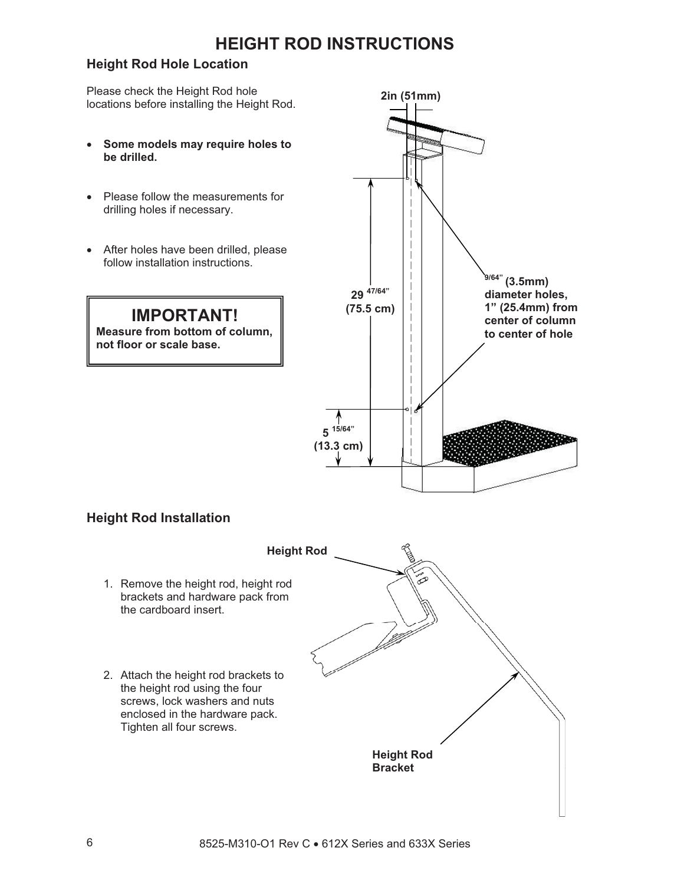# **HEIGHT ROD INSTRUCTIONS**

#### **Height Rod Hole Location**

Please check the Height Rod hole locations before installing the Height Rod. **2in (51mm)**

- x **Some models may require holes to be drilled.**
- Please follow the measurements for drilling holes if necessary.
- After holes have been drilled, please follow installation instructions.

**IMPORTANT! Measure from bottom of column,** 

**not floor or scale base.** 



### **Height Rod Installation**

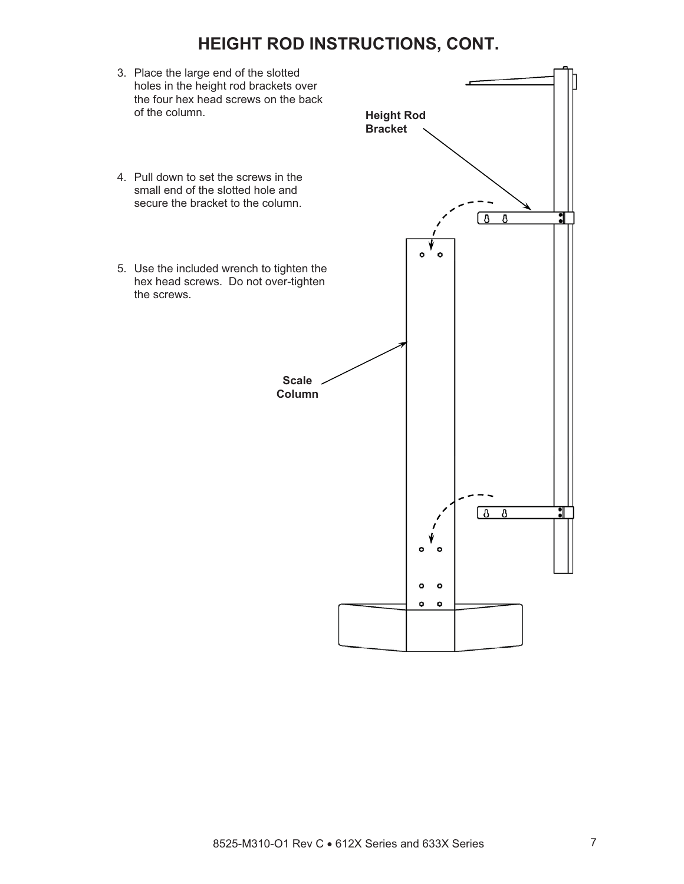## **HEIGHT ROD INSTRUCTIONS, CONT.**

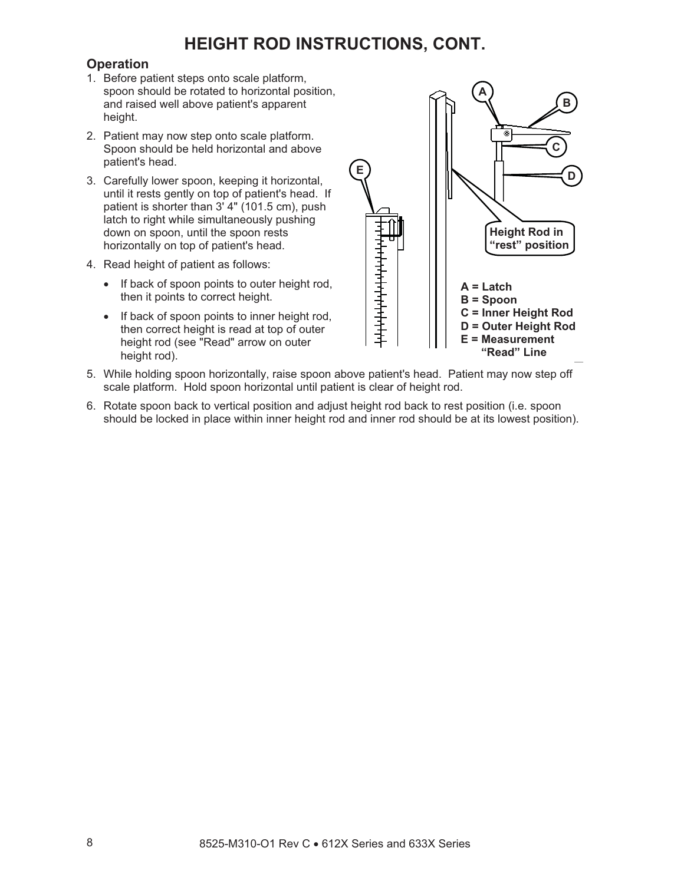# **HEIGHT ROD INSTRUCTIONS, CONT.**

#### **Operation**

- 1. Before patient steps onto scale platform, spoon should be rotated to horizontal position, and raised well above patient's apparent height.
- 2. Patient may now step onto scale platform. Spoon should be held horizontal and above patient's head.
- 3. Carefully lower spoon, keeping it horizontal, until it rests gently on top of patient's head. If patient is shorter than 3' 4" (101.5 cm), push latch to right while simultaneously pushing down on spoon, until the spoon rests horizontally on top of patient's head.
- 4. Read height of patient as follows:
	- If back of spoon points to outer height rod, then it points to correct height.
	- If back of spoon points to inner height rod, then correct height is read at top of outer height rod (see "Read" arrow on outer height rod).



- 5. While holding spoon horizontally, raise spoon above patient's head. Patient may now step off scale platform. Hold spoon horizontal until patient is clear of height rod.
- 6. Rotate spoon back to vertical position and adjust height rod back to rest position (i.e. spoon should be locked in place within inner height rod and inner rod should be at its lowest position).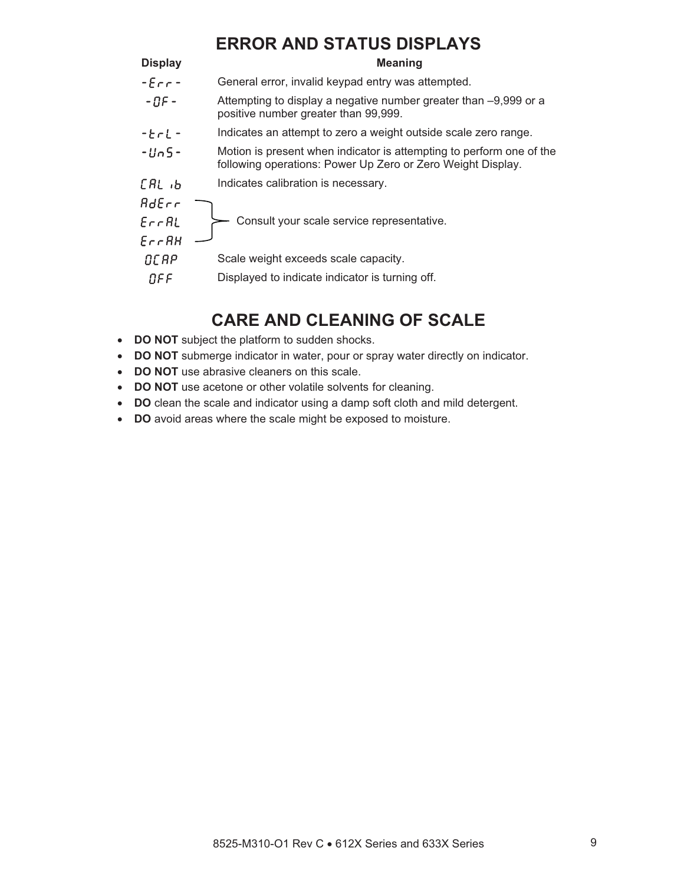# **ERROR AND STATUS DISPLAYS**

| <b>Display</b>     | <b>Meaning</b>                                                                                                                      |  |  |
|--------------------|-------------------------------------------------------------------------------------------------------------------------------------|--|--|
| $ E$ rr $-$        | General error, invalid keypad entry was attempted.                                                                                  |  |  |
| $-RF -$            | Attempting to display a negative number greater than -9,999 or a<br>positive number greater than 99,999.                            |  |  |
| $ E - L -$         | Indicates an attempt to zero a weight outside scale zero range.                                                                     |  |  |
| $-linS-$           | Motion is present when indicator is attempting to perform one of the<br>following operations: Power Up Zero or Zero Weight Display. |  |  |
| CAL <sub>1</sub> b | Indicates calibration is necessary.                                                                                                 |  |  |
| BdEcr              |                                                                                                                                     |  |  |
| $E$ rr $R$ L       | Consult your scale service representative.                                                                                          |  |  |
| $E$ rr $RH$        |                                                                                                                                     |  |  |
| OCAP               | Scale weight exceeds scale capacity.                                                                                                |  |  |
| OFF                | Displayed to indicate indicator is turning off.                                                                                     |  |  |

# **CARE AND CLEANING OF SCALE**

- **DO NOT** subject the platform to sudden shocks.
- **DO NOT** submerge indicator in water, pour or spray water directly on indicator.
- **DO NOT** use abrasive cleaners on this scale.
- **DO NOT** use acetone or other volatile solvents for cleaning.
- **DO** clean the scale and indicator using a damp soft cloth and mild detergent.
- **DO** avoid areas where the scale might be exposed to moisture.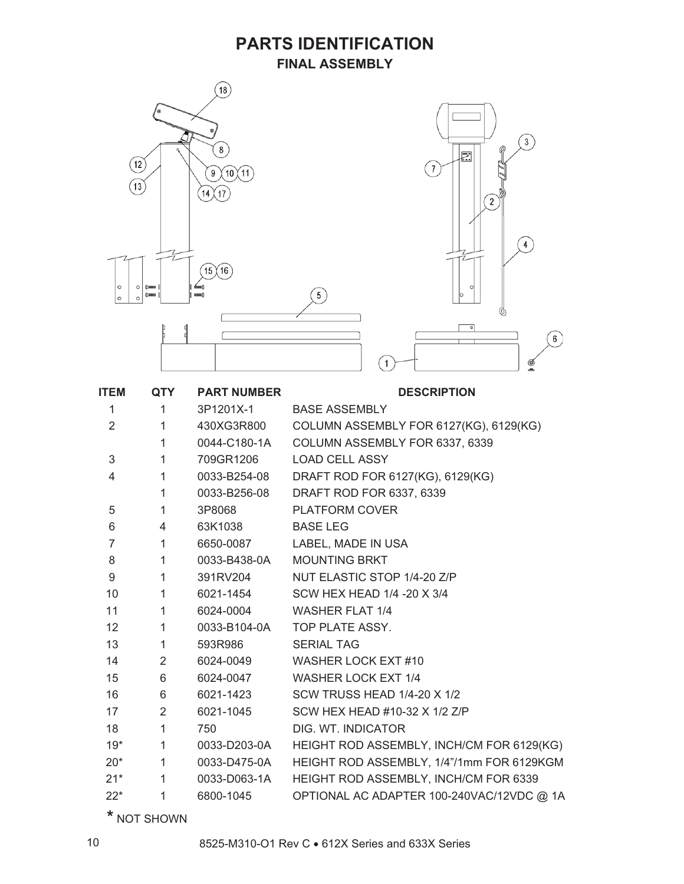#### **PARTS IDENTIFICATION FINAL ASSEMBLY**



| <b>ITEM</b>     | <b>QTY</b>     | <b>PART NUMBER</b> | <b>DESCRIPTION</b>                        |
|-----------------|----------------|--------------------|-------------------------------------------|
| 1               | 1              | 3P1201X-1          | <b>BASE ASSEMBLY</b>                      |
| $\overline{2}$  | $\mathbf{1}$   | 430XG3R800         | COLUMN ASSEMBLY FOR 6127(KG), 6129(KG)    |
|                 | $\mathbf{1}$   | 0044-C180-1A       | COLUMN ASSEMBLY FOR 6337, 6339            |
| 3               | $\mathbf{1}$   | 709GR1206          | <b>LOAD CELL ASSY</b>                     |
| $\overline{4}$  | $\mathbf{1}$   | 0033-B254-08       | DRAFT ROD FOR 6127(KG), 6129(KG)          |
|                 | $\mathbf{1}$   | 0033-B256-08       | DRAFT ROD FOR 6337, 6339                  |
| 5               | $\mathbf{1}$   | 3P8068             | <b>PLATFORM COVER</b>                     |
| 6               | 4              | 63K1038            | <b>BASE LEG</b>                           |
| $\overline{7}$  | $\mathbf{1}$   | 6650-0087          | LABEL, MADE IN USA                        |
| 8               | $\mathbf{1}$   | 0033-B438-0A       | <b>MOUNTING BRKT</b>                      |
| 9               | $\mathbf{1}$   | 391RV204           | NUT ELASTIC STOP 1/4-20 Z/P               |
| 10              | $\mathbf{1}$   | 6021-1454          | SCW HEX HEAD 1/4 -20 X 3/4                |
| 11              | $\mathbf{1}$   | 6024-0004          | <b>WASHER FLAT 1/4</b>                    |
| 12 <sup>2</sup> | $\mathbf{1}$   |                    | 0033-B104-0A TOP PLATE ASSY.              |
| 13              | $\mathbf{1}$   | 593R986            | <b>SERIAL TAG</b>                         |
| 14              | 2              | 6024-0049          | WASHER LOCK EXT #10                       |
| 15              | 6              | 6024-0047          | <b>WASHER LOCK EXT 1/4</b>                |
| 16              | 6              | 6021-1423          | <b>SCW TRUSS HEAD 1/4-20 X 1/2</b>        |
| 17              | $\overline{2}$ | 6021-1045          | SCW HEX HEAD #10-32 X 1/2 Z/P             |
| 18              | $\mathbf{1}$   | 750                | DIG. WT. INDICATOR                        |
| $19*$           | $\mathbf{1}$   | 0033-D203-0A       | HEIGHT ROD ASSEMBLY, INCH/CM FOR 6129(KG) |
| $20^*$          | $\mathbf{1}$   | 0033-D475-0A       | HEIGHT ROD ASSEMBLY, 1/4"/1mm FOR 6129KGM |
| $21*$           | $\mathbf{1}$   | 0033-D063-1A       | HEIGHT ROD ASSEMBLY, INCH/CM FOR 6339     |
| $22*$           | 1              | 6800-1045          | OPTIONAL AC ADAPTER 100-240VAC/12VDC @ 1A |

**\*** NOT SHOWN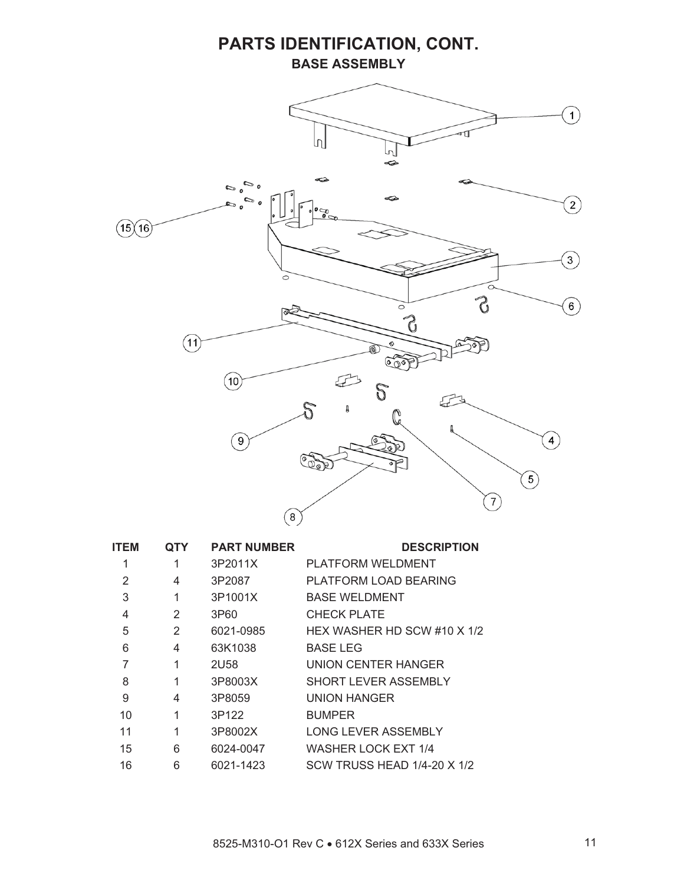### **PARTS IDENTIFICATION, CONT. BASE ASSEMBLY**



| <b>ITEM</b> | QTY | <b>PART NUMBER</b> | <b>DESCRIPTION</b>          |
|-------------|-----|--------------------|-----------------------------|
| 1           | 1   | 3P2011X            | PLATFORM WELDMENT           |
| 2           | 4   | 3P2087             | PLATFORM LOAD BEARING       |
| 3           | 1   | 3P1001X            | <b>BASE WELDMENT</b>        |
| 4           | 2   | 3P60               | CHECK PLATE                 |
| 5           | 2   | 6021-0985          | HEX WASHER HD SCW #10 X 1/2 |
| 6           | 4   | 63K1038            | <b>BASE LEG</b>             |
| 7           | 1   | <b>2U58</b>        | UNION CENTER HANGER         |
| 8           | 1   | 3P8003X            | SHORT LEVER ASSEMBLY        |
| 9           | 4   | 3P8059             | UNION HANGER                |
| 10          | 1   | 3P122              | <b>BUMPER</b>               |
| 11          | 1   | 3P8002X            | <b>LONG LEVER ASSEMBLY</b>  |
| 15          | 6   | 6024-0047          | <b>WASHER LOCK EXT 1/4</b>  |
| 16          | 6   | 6021-1423          | SCW TRUSS HEAD 1/4-20 X 1/2 |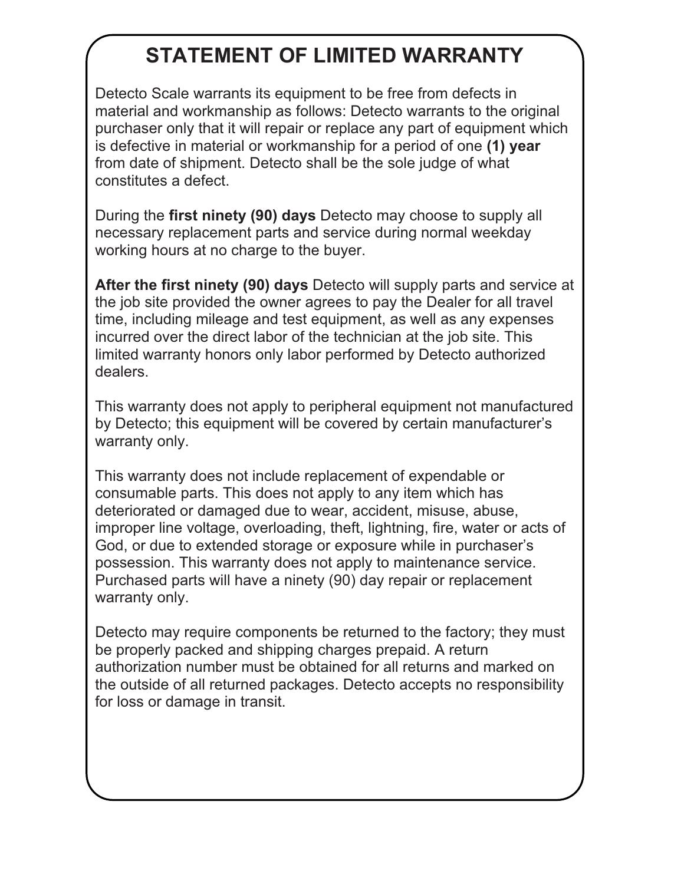# **STATEMENT OF LIMITED WARRANTY**

Detecto Scale warrants its equipment to be free from defects in material and workmanship as follows: Detecto warrants to the original purchaser only that it will repair or replace any part of equipment which is defective in material or workmanship for a period of one **(1) year** from date of shipment. Detecto shall be the sole judge of what constitutes a defect.

During the **first ninety (90) days** Detecto may choose to supply all necessary replacement parts and service during normal weekday working hours at no charge to the buyer.

**After the first ninety (90) days** Detecto will supply parts and service at the job site provided the owner agrees to pay the Dealer for all travel time, including mileage and test equipment, as well as any expenses incurred over the direct labor of the technician at the job site. This limited warranty honors only labor performed by Detecto authorized dealers.

This warranty does not apply to peripheral equipment not manufactured by Detecto; this equipment will be covered by certain manufacturer's warranty only.

This warranty does not include replacement of expendable or consumable parts. This does not apply to any item which has deteriorated or damaged due to wear, accident, misuse, abuse, improper line voltage, overloading, theft, lightning, fire, water or acts of God, or due to extended storage or exposure while in purchaser's possession. This warranty does not apply to maintenance service. Purchased parts will have a ninety (90) day repair or replacement warranty only.

Detecto may require components be returned to the factory; they must be properly packed and shipping charges prepaid. A return authorization number must be obtained for all returns and marked on the outside of all returned packages. Detecto accepts no responsibility for loss or damage in transit.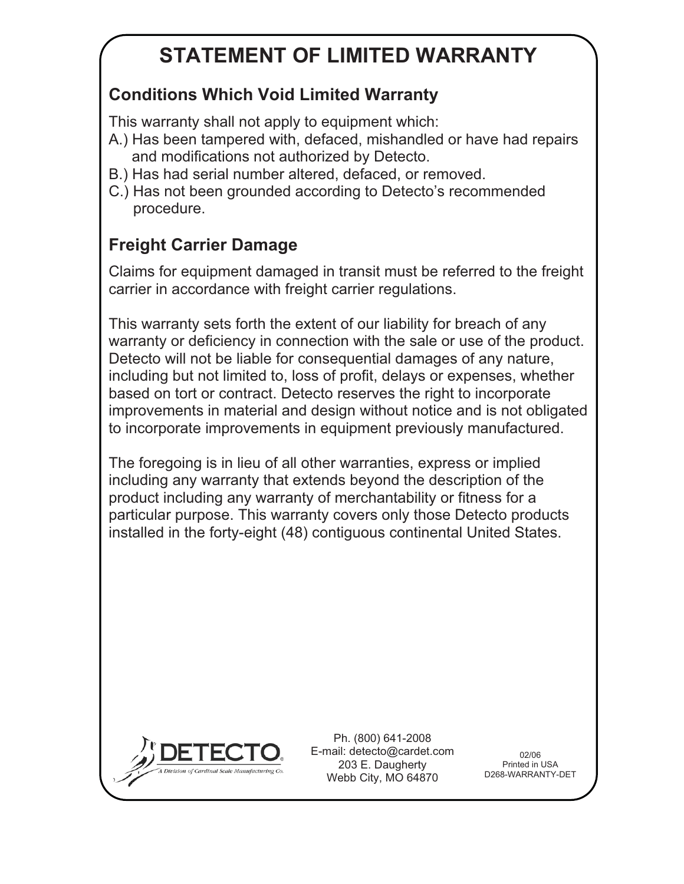# **STATEMENT OF LIMITED WARRANTY**

# **Conditions Which Void Limited Warranty**

This warranty shall not apply to equipment which:

- A.) Has been tampered with, defaced, mishandled or have had repairs and modifications not authorized by Detecto.
- B.) Has had serial number altered, defaced, or removed.
- C.) Has not been grounded according to Detecto's recommended procedure.

# **Freight Carrier Damage**

Claims for equipment damaged in transit must be referred to the freight carrier in accordance with freight carrier regulations.

This warranty sets forth the extent of our liability for breach of any warranty or deficiency in connection with the sale or use of the product. Detecto will not be liable for consequential damages of any nature, including but not limited to, loss of profit, delays or expenses, whether based on tort or contract. Detecto reserves the right to incorporate improvements in material and design without notice and is not obligated to incorporate improvements in equipment previously manufactured.

The foregoing is in lieu of all other warranties, express or implied including any warranty that extends beyond the description of the product including any warranty of merchantability or fitness for a particular purpose. This warranty covers only those Detecto products installed in the forty-eight (48) contiguous continental United States.



Ph. (800) 641-2008 E-mail: detecto@cardet.com 203 E. Daugherty Webb City, MO 64870

02/06 Printed in USA D268-WARRANTY-DET